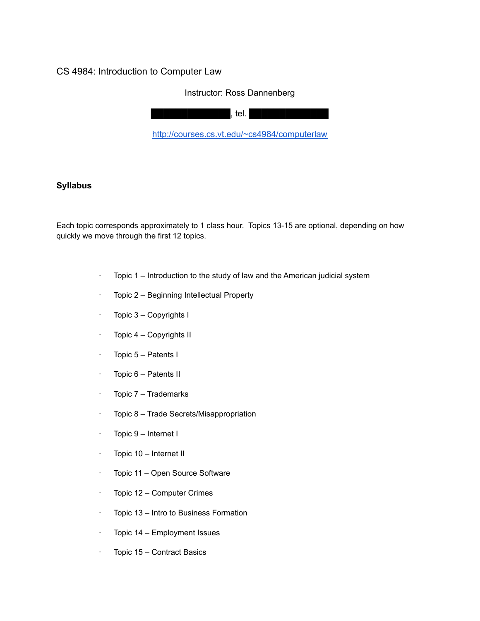# CS 4984: Introduction to Computer Law

## Instructor: Ross Dannenberg

 $B$ .  $B$   $B$   $B$   $B$   $B$   $B$   $B$   $B$ 

<http://courses.cs.vt.edu/~cs4984/computerlaw>

## **Syllabus**

Each topic corresponds approximately to 1 class hour. Topics 13-15 are optional, depending on how quickly we move through the first 12 topics.

- $\cdot$  Topic 1 Introduction to the study of law and the American judicial system
- · Topic 2 Beginning Intellectual Property
- · Topic 3 Copyrights I
- · Topic 4 Copyrights II
- · Topic 5 Patents I
- · Topic 6 Patents II
- · Topic 7 Trademarks
- · Topic 8 Trade Secrets/Misappropriation
- · Topic 9 Internet I
- · Topic 10 Internet II
- · Topic 11 Open Source Software
- · Topic 12 Computer Crimes
- · Topic 13 Intro to Business Formation
- · Topic 14 Employment Issues
- · Topic 15 Contract Basics